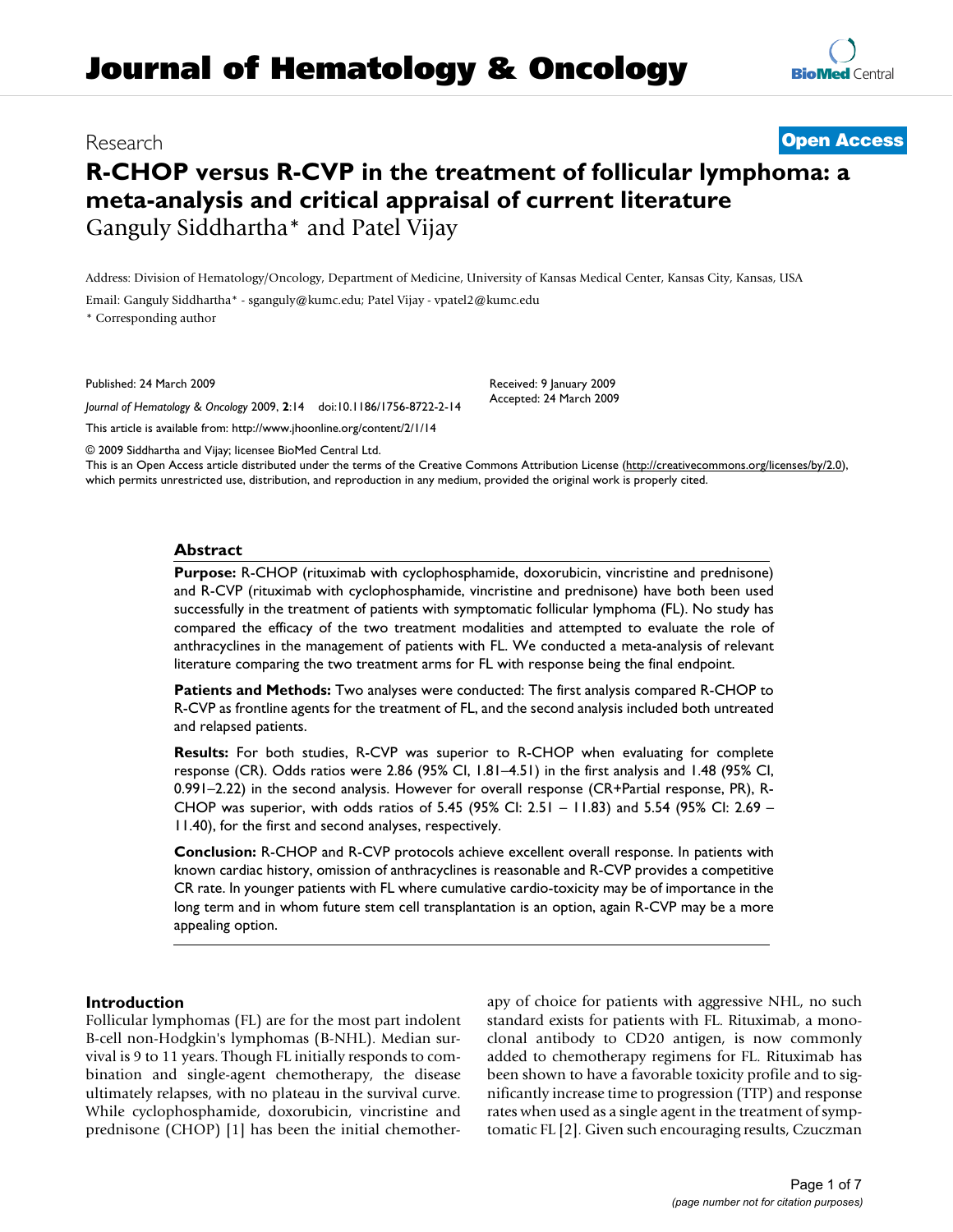## Research **[Open Access](http://www.biomedcentral.com/info/about/charter/)**

# **R-CHOP versus R-CVP in the treatment of follicular lymphoma: a meta-analysis and critical appraisal of current literature** Ganguly Siddhartha\* and Patel Vijay

Address: Division of Hematology/Oncology, Department of Medicine, University of Kansas Medical Center, Kansas City, Kansas, USA

Email: Ganguly Siddhartha\* - sganguly@kumc.edu; Patel Vijay - vpatel2@kumc.edu

\* Corresponding author

Published: 24 March 2009

*Journal of Hematology & Oncology* 2009, **2**:14 doi:10.1186/1756-8722-2-14

[This article is available from: http://www.jhoonline.org/content/2/1/14](http://www.jhoonline.org/content/2/1/14)

© 2009 Siddhartha and Vijay; licensee BioMed Central Ltd.

This is an Open Access article distributed under the terms of the Creative Commons Attribution License [\(http://creativecommons.org/licenses/by/2.0\)](http://creativecommons.org/licenses/by/2.0), which permits unrestricted use, distribution, and reproduction in any medium, provided the original work is properly cited.

Received: 9 January 2009 Accepted: 24 March 2009

#### **Abstract**

**Purpose:** R-CHOP (rituximab with cyclophosphamide, doxorubicin, vincristine and prednisone) and R-CVP (rituximab with cyclophosphamide, vincristine and prednisone) have both been used successfully in the treatment of patients with symptomatic follicular lymphoma (FL). No study has compared the efficacy of the two treatment modalities and attempted to evaluate the role of anthracyclines in the management of patients with FL. We conducted a meta-analysis of relevant literature comparing the two treatment arms for FL with response being the final endpoint.

**Patients and Methods:** Two analyses were conducted: The first analysis compared R-CHOP to R-CVP as frontline agents for the treatment of FL, and the second analysis included both untreated and relapsed patients.

**Results:** For both studies, R-CVP was superior to R-CHOP when evaluating for complete response (CR). Odds ratios were 2.86 (95% CI, 1.81–4.51) in the first analysis and 1.48 (95% CI, 0.991–2.22) in the second analysis. However for overall response (CR+Partial response, PR), R-CHOP was superior, with odds ratios of 5.45 (95% CI: 2.51 – 11.83) and 5.54 (95% CI: 2.69 – 11.40), for the first and second analyses, respectively.

**Conclusion:** R-CHOP and R-CVP protocols achieve excellent overall response. In patients with known cardiac history, omission of anthracyclines is reasonable and R-CVP provides a competitive CR rate. In younger patients with FL where cumulative cardio-toxicity may be of importance in the long term and in whom future stem cell transplantation is an option, again R-CVP may be a more appealing option.

#### **Introduction**

Follicular lymphomas (FL) are for the most part indolent B-cell non-Hodgkin's lymphomas (B-NHL). Median survival is 9 to 11 years. Though FL initially responds to combination and single-agent chemotherapy, the disease ultimately relapses, with no plateau in the survival curve. While cyclophosphamide, doxorubicin, vincristine and prednisone (CHOP) [1] has been the initial chemotherapy of choice for patients with aggressive NHL, no such standard exists for patients with FL. Rituximab, a monoclonal antibody to CD20 antigen, is now commonly added to chemotherapy regimens for FL. Rituximab has been shown to have a favorable toxicity profile and to significantly increase time to progression (TTP) and response rates when used as a single agent in the treatment of symptomatic FL [2]. Given such encouraging results, Czuczman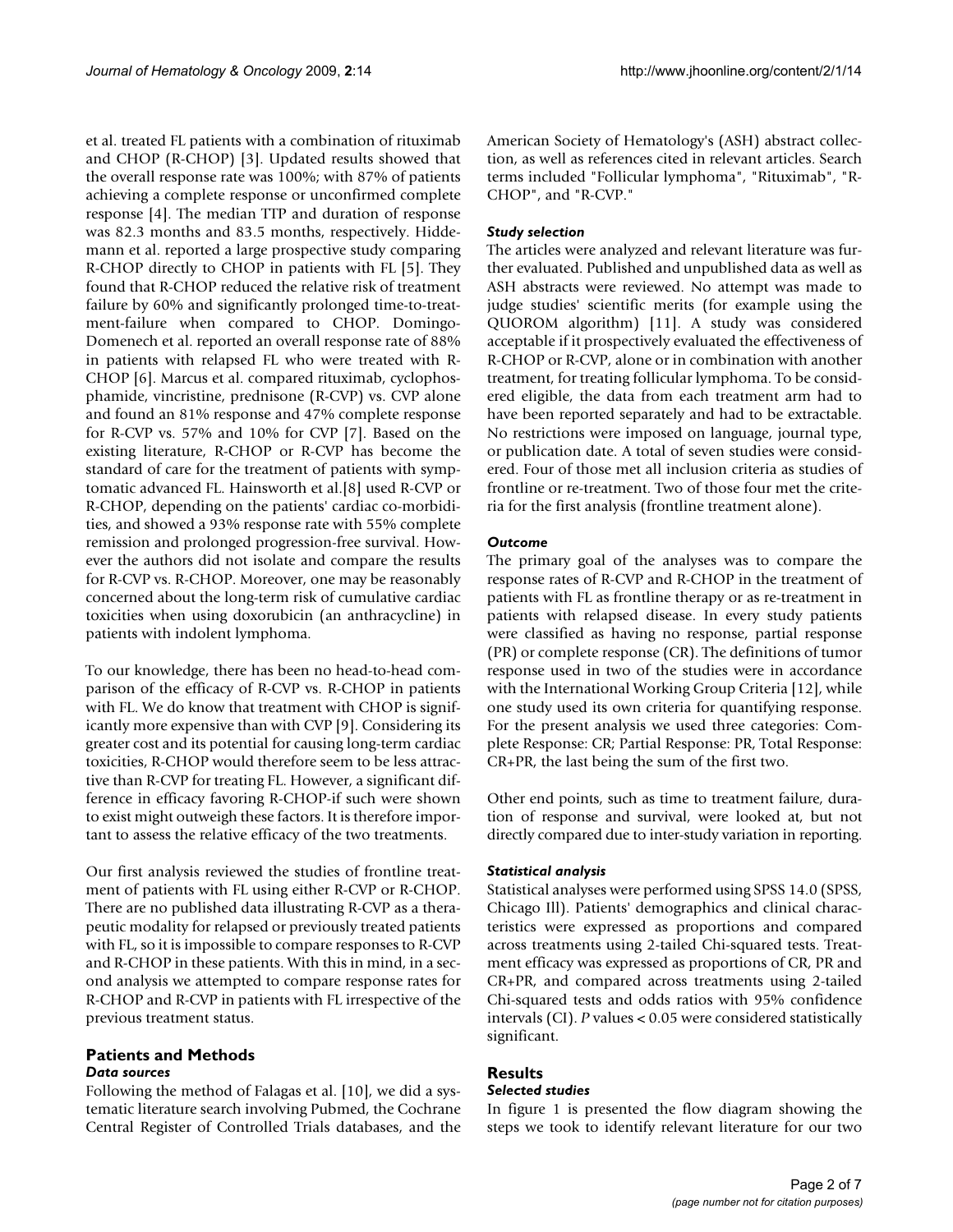et al. treated FL patients with a combination of rituximab and CHOP (R-CHOP) [3]. Updated results showed that the overall response rate was 100%; with 87% of patients achieving a complete response or unconfirmed complete response [4]. The median TTP and duration of response was 82.3 months and 83.5 months, respectively. Hiddemann et al. reported a large prospective study comparing R-CHOP directly to CHOP in patients with FL [5]. They found that R-CHOP reduced the relative risk of treatment failure by 60% and significantly prolonged time-to-treatment-failure when compared to CHOP. Domingo-Domenech et al. reported an overall response rate of 88% in patients with relapsed FL who were treated with R-CHOP [6]. Marcus et al. compared rituximab, cyclophosphamide, vincristine, prednisone (R-CVP) vs. CVP alone and found an 81% response and 47% complete response for R-CVP vs. 57% and 10% for CVP [7]. Based on the existing literature, R-CHOP or R-CVP has become the standard of care for the treatment of patients with symptomatic advanced FL. Hainsworth et al.[8] used R-CVP or R-CHOP, depending on the patients' cardiac co-morbidities, and showed a 93% response rate with 55% complete remission and prolonged progression-free survival. However the authors did not isolate and compare the results for R-CVP vs. R-CHOP. Moreover, one may be reasonably concerned about the long-term risk of cumulative cardiac toxicities when using doxorubicin (an anthracycline) in patients with indolent lymphoma.

To our knowledge, there has been no head-to-head comparison of the efficacy of R-CVP vs. R-CHOP in patients with FL. We do know that treatment with CHOP is significantly more expensive than with CVP [9]. Considering its greater cost and its potential for causing long-term cardiac toxicities, R-CHOP would therefore seem to be less attractive than R-CVP for treating FL. However, a significant difference in efficacy favoring R-CHOP-if such were shown to exist might outweigh these factors. It is therefore important to assess the relative efficacy of the two treatments.

Our first analysis reviewed the studies of frontline treatment of patients with FL using either R-CVP or R-CHOP. There are no published data illustrating R-CVP as a therapeutic modality for relapsed or previously treated patients with FL, so it is impossible to compare responses to R-CVP and R-CHOP in these patients. With this in mind, in a second analysis we attempted to compare response rates for R-CHOP and R-CVP in patients with FL irrespective of the previous treatment status.

#### **Patients and Methods** *Data sources*

Following the method of Falagas et al. [10], we did a systematic literature search involving Pubmed, the Cochrane Central Register of Controlled Trials databases, and the American Society of Hematology's (ASH) abstract collection, as well as references cited in relevant articles. Search terms included "Follicular lymphoma", "Rituximab", "R-CHOP", and "R-CVP."

## *Study selection*

The articles were analyzed and relevant literature was further evaluated. Published and unpublished data as well as ASH abstracts were reviewed. No attempt was made to judge studies' scientific merits (for example using the QUOROM algorithm) [11]. A study was considered acceptable if it prospectively evaluated the effectiveness of R-CHOP or R-CVP, alone or in combination with another treatment, for treating follicular lymphoma. To be considered eligible, the data from each treatment arm had to have been reported separately and had to be extractable. No restrictions were imposed on language, journal type, or publication date. A total of seven studies were considered. Four of those met all inclusion criteria as studies of frontline or re-treatment. Two of those four met the criteria for the first analysis (frontline treatment alone).

## *Outcome*

The primary goal of the analyses was to compare the response rates of R-CVP and R-CHOP in the treatment of patients with FL as frontline therapy or as re-treatment in patients with relapsed disease. In every study patients were classified as having no response, partial response (PR) or complete response (CR). The definitions of tumor response used in two of the studies were in accordance with the International Working Group Criteria [12], while one study used its own criteria for quantifying response. For the present analysis we used three categories: Complete Response: CR; Partial Response: PR, Total Response: CR+PR, the last being the sum of the first two.

Other end points, such as time to treatment failure, duration of response and survival, were looked at, but not directly compared due to inter-study variation in reporting.

## *Statistical analysis*

Statistical analyses were performed using SPSS 14.0 (SPSS, Chicago Ill). Patients' demographics and clinical characteristics were expressed as proportions and compared across treatments using 2-tailed Chi-squared tests. Treatment efficacy was expressed as proportions of CR, PR and CR+PR, and compared across treatments using 2-tailed Chi-squared tests and odds ratios with 95% confidence intervals (CI). *P* values < 0.05 were considered statistically significant.

#### **Results** *Selected studies*

In figure 1 is presented the flow diagram showing the steps we took to identify relevant literature for our two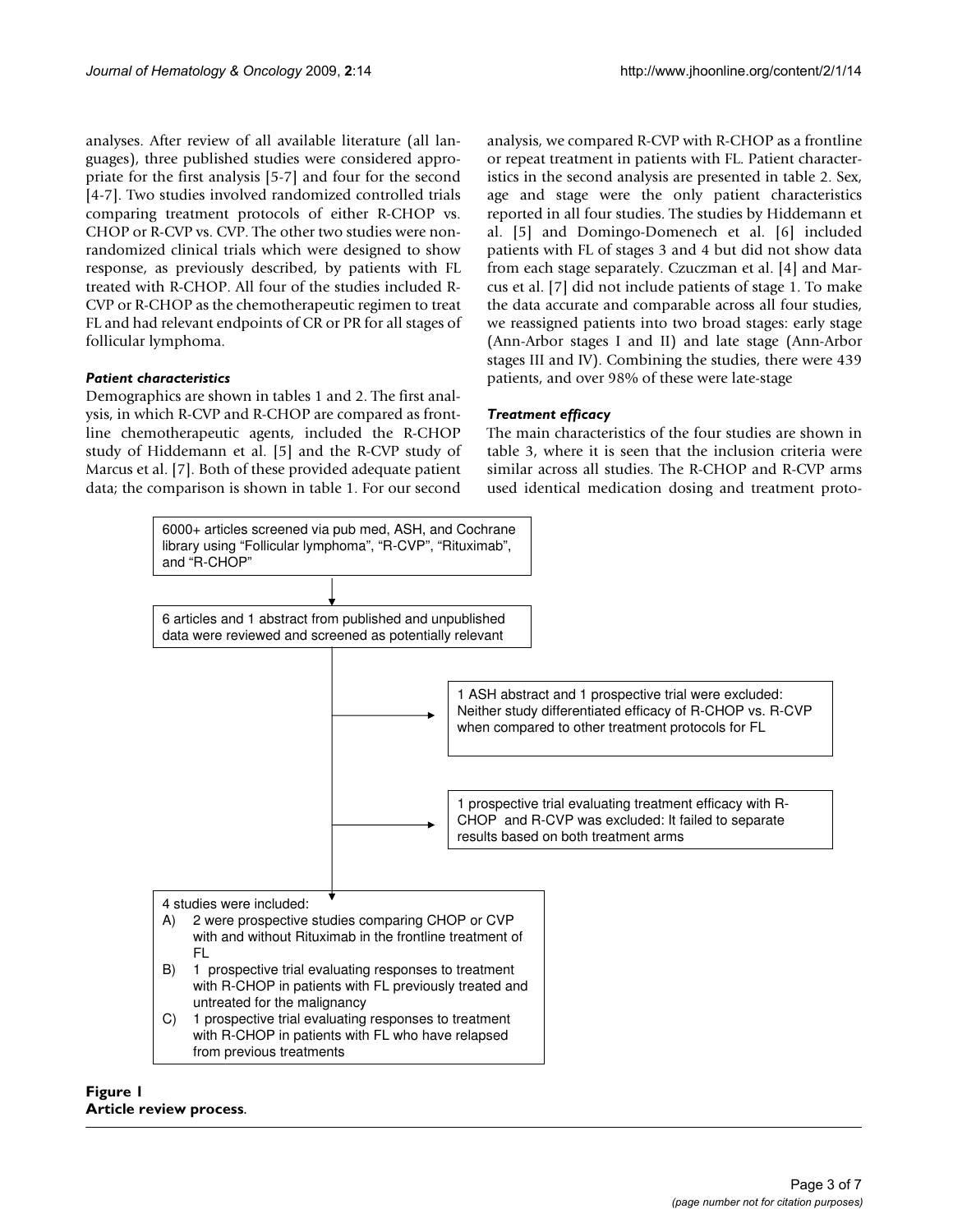analyses. After review of all available literature (all languages), three published studies were considered appropriate for the first analysis [5-7] and four for the second [4-7]. Two studies involved randomized controlled trials comparing treatment protocols of either R-CHOP vs. CHOP or R-CVP vs. CVP. The other two studies were nonrandomized clinical trials which were designed to show response, as previously described, by patients with FL treated with R-CHOP. All four of the studies included R-CVP or R-CHOP as the chemotherapeutic regimen to treat FL and had relevant endpoints of CR or PR for all stages of follicular lymphoma.

### *Patient characteristics*

Demographics are shown in tables 1 and 2. The first analysis, in which R-CVP and R-CHOP are compared as frontline chemotherapeutic agents, included the R-CHOP study of Hiddemann et al. [5] and the R-CVP study of Marcus et al. [7]. Both of these provided adequate patient data; the comparison is shown in table 1. For our second analysis, we compared R-CVP with R-CHOP as a frontline or repeat treatment in patients with FL. Patient characteristics in the second analysis are presented in table 2. Sex, age and stage were the only patient characteristics reported in all four studies. The studies by Hiddemann et al. [5] and Domingo-Domenech et al. [6] included patients with FL of stages 3 and 4 but did not show data from each stage separately. Czuczman et al. [4] and Marcus et al. [7] did not include patients of stage 1. To make the data accurate and comparable across all four studies, we reassigned patients into two broad stages: early stage (Ann-Arbor stages I and II) and late stage (Ann-Arbor stages III and IV). Combining the studies, there were 439 patients, and over 98% of these were late-stage

## *Treatment efficacy*

The main characteristics of the four studies are shown in table 3, where it is seen that the inclusion criteria were similar across all studies. The R-CHOP and R-CVP arms used identical medication dosing and treatment proto-



## **Figure 1 Article review process**.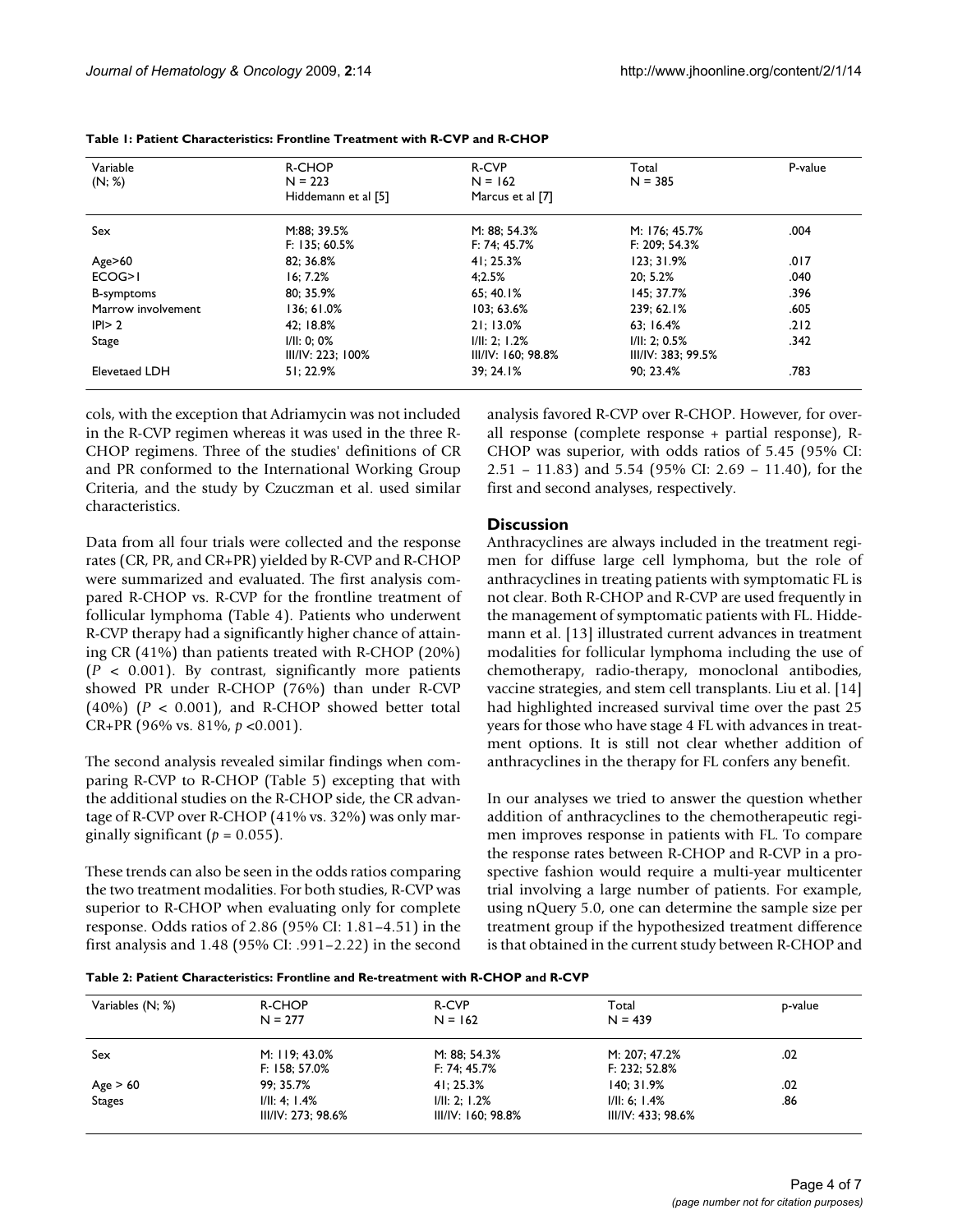| Variable             | R-CHOP               | R-CVP              | Total              | P-value |  |
|----------------------|----------------------|--------------------|--------------------|---------|--|
| (N; %)               | $N = 223$            | $N = 162$          | $N = 385$          |         |  |
|                      | Hiddemann et al [5]  | Marcus et al [7]   |                    |         |  |
| Sex                  | M:88: 39.5%          | M: 88: 54.3%       | M: 176: 45.7%      | .004    |  |
|                      | F: 135; 60.5%        | F: 74; 45.7%       | F: 209; 54.3%      |         |  |
| Age > 60             | 82: 36.8%            | 41:25.3%           | 123:31.9%          | .017    |  |
| ECOG>1               | 16:7.2%              | 4:2.5%             | 20:5.2%            | .040    |  |
| B-symptoms           | 80: 35.9%            | 65:40.1%           | 145: 37.7%         | .396    |  |
| Marrow involvement   | 136; 61.0%           | 103; 63.6%         | 239: 62.1%         | .605    |  |
| P  > 2               | 42: 18.8%            | $21:13.0\%$        | 63:16.4%           | .212    |  |
| Stage                | $I/II: 0: 0\%$       | 1/II: 2: 1.2%      | I/II: 2: 0.5%      | .342    |  |
|                      | $III/IV: 223: 100\%$ | III/IV: 160; 98.8% | III/IV: 383; 99.5% |         |  |
| <b>Elevetaed LDH</b> | 51:22.9%             | 39: 24.1%          | 90: 23.4%          | .783    |  |

cols, with the exception that Adriamycin was not included in the R-CVP regimen whereas it was used in the three R-CHOP regimens. Three of the studies' definitions of CR and PR conformed to the International Working Group Criteria, and the study by Czuczman et al. used similar characteristics.

Data from all four trials were collected and the response rates (CR, PR, and CR+PR) yielded by R-CVP and R-CHOP were summarized and evaluated. The first analysis compared R-CHOP vs. R-CVP for the frontline treatment of follicular lymphoma (Table 4). Patients who underwent R-CVP therapy had a significantly higher chance of attaining CR (41%) than patients treated with R-CHOP (20%)  $(P < 0.001)$ . By contrast, significantly more patients showed PR under R-CHOP (76%) than under R-CVP (40%) (*P* < 0.001), and R-CHOP showed better total CR+PR (96% vs. 81%, *p* <0.001).

The second analysis revealed similar findings when comparing R-CVP to R-CHOP (Table 5) excepting that with the additional studies on the R-CHOP side, the CR advantage of R-CVP over R-CHOP (41% vs. 32%) was only marginally significant  $(p = 0.055)$ .

These trends can also be seen in the odds ratios comparing the two treatment modalities. For both studies, R-CVP was superior to R-CHOP when evaluating only for complete response. Odds ratios of 2.86 (95% CI: 1.81–4.51) in the first analysis and 1.48 (95% CI: .991–2.22) in the second analysis favored R-CVP over R-CHOP. However, for overall response (complete response + partial response), R-CHOP was superior, with odds ratios of 5.45 (95% CI: 2.51 – 11.83) and 5.54 (95% CI: 2.69 – 11.40), for the first and second analyses, respectively.

#### **Discussion**

Anthracyclines are always included in the treatment regimen for diffuse large cell lymphoma, but the role of anthracyclines in treating patients with symptomatic FL is not clear. Both R-CHOP and R-CVP are used frequently in the management of symptomatic patients with FL. Hiddemann et al. [13] illustrated current advances in treatment modalities for follicular lymphoma including the use of chemotherapy, radio-therapy, monoclonal antibodies, vaccine strategies, and stem cell transplants. Liu et al. [14] had highlighted increased survival time over the past 25 years for those who have stage 4 FL with advances in treatment options. It is still not clear whether addition of anthracyclines in the therapy for FL confers any benefit.

In our analyses we tried to answer the question whether addition of anthracyclines to the chemotherapeutic regimen improves response in patients with FL. To compare the response rates between R-CHOP and R-CVP in a prospective fashion would require a multi-year multicenter trial involving a large number of patients. For example, using nQuery 5.0, one can determine the sample size per treatment group if the hypothesized treatment difference is that obtained in the current study between R-CHOP and

| Variables (N; %) | R-CHOP<br>$N = 277$                 | R-CVP<br>$N = 162$                  | Total<br>$N = 439$                  | p-value |
|------------------|-------------------------------------|-------------------------------------|-------------------------------------|---------|
| Sex              | M: 119; 43.0%<br>F: 158; 57.0%      | M: 88: 54.3%<br>F: 74; 45.7%        | M: 207: 47.2%<br>F: 232; 52.8%      | .02     |
| Age $> 60$       | 99; 35.7%                           | 41: 25.3%                           | 140; 31.9%                          | .02     |
| <b>Stages</b>    | I/II: 4: 1.4%<br>III/IV: 273: 98.6% | I/II: 2; 1.2%<br>III/IV: 160; 98.8% | I/II: 6; 1.4%<br>III/IV: 433; 98.6% | .86     |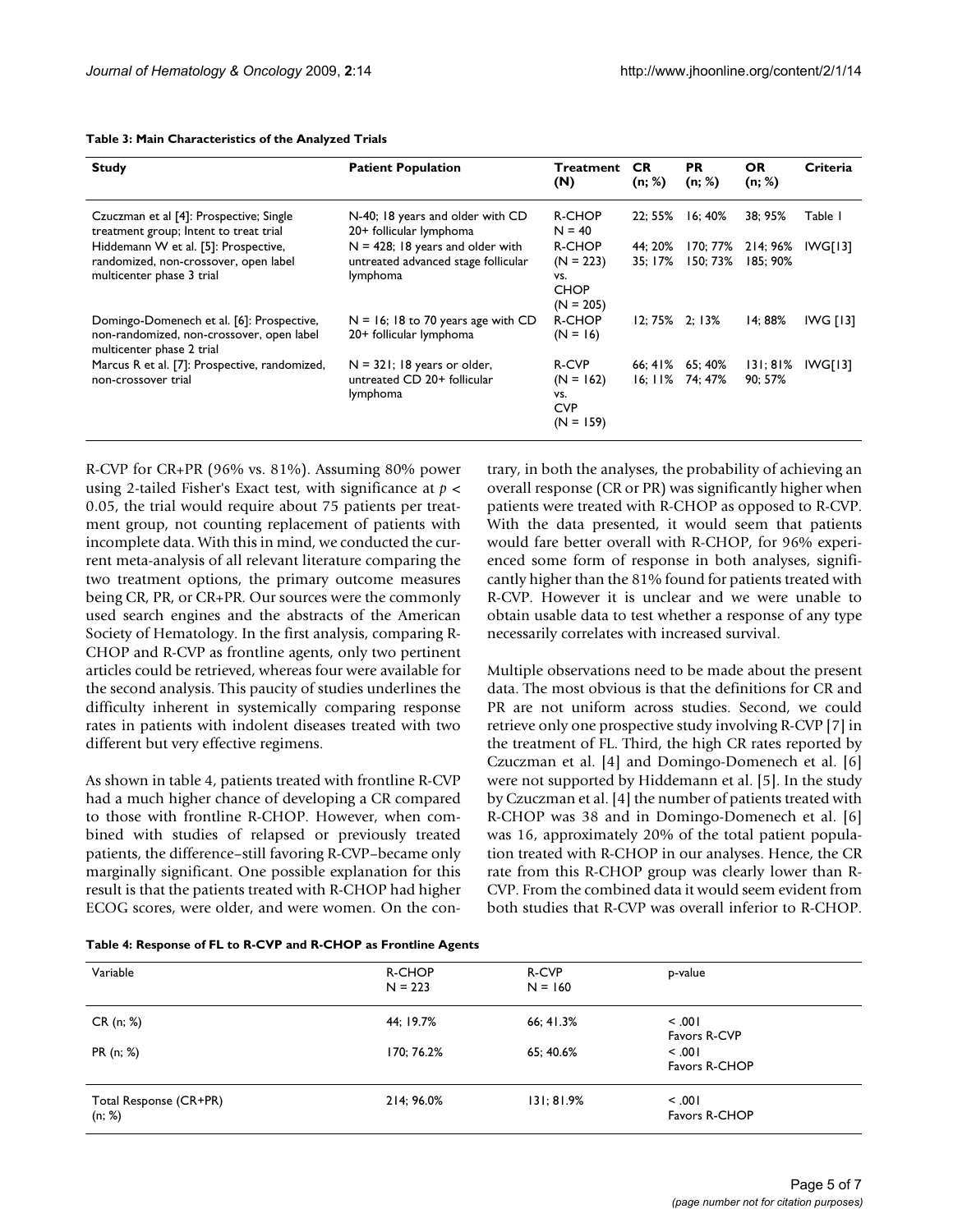|  | Table 3: Main Characteristics of the Analyzed Trials |  |  |  |
|--|------------------------------------------------------|--|--|--|
|--|------------------------------------------------------|--|--|--|

| <b>Study</b>                                                                                                        | <b>Patient Population</b>                                                              | Treatment<br>(N)                                           | <b>CR</b><br>(n; % ) | <b>PR</b><br>(n; %)                   | <b>OR</b><br>(n; %) | Criteria |
|---------------------------------------------------------------------------------------------------------------------|----------------------------------------------------------------------------------------|------------------------------------------------------------|----------------------|---------------------------------------|---------------------|----------|
| Czuczman et al [4]: Prospective; Single<br>treatment group; Intent to treat trial                                   | N-40; 18 years and older with CD<br>20+ follicular lymphoma                            | R-CHOP<br>$N = 40$                                         | 22: 55%              | <b>16:40%</b>                         | 38: 95%             | Table I  |
| Hiddemann W et al. [5]: Prospective,<br>randomized, non-crossover, open label<br>multicenter phase 3 trial          | $N = 428$ ; 18 years and older with<br>untreated advanced stage follicular<br>lymphoma | R-CHOP<br>$(N = 223)$<br>VS.<br><b>CHOP</b><br>$(N = 205)$ | 44: 20%<br>35; 17%   | 170; 77%<br>150: 73%                  | 214; 96%<br>185:90% | IWG[13]  |
| Domingo-Domenech et al. [6]: Prospective,<br>non-randomized, non-crossover, open label<br>multicenter phase 2 trial | $N = 16$ ; 18 to 70 years age with CD<br>20+ follicular lymphoma                       | <b>R-CHOP</b><br>$(N = 16)$                                | $12:75\%$ 2:13%      |                                       | <b>14:88%</b>       | IWG [13] |
| Marcus R et al. [7]: Prospective, randomized,<br>non-crossover trial                                                | $N = 321$ ; 18 years or older,<br>untreated CD 20+ follicular<br>lymphoma              | R-CVP<br>$(N = 162)$<br>VS.<br><b>CVP</b><br>$(N = 159)$   |                      | 66; 41% 65; 40%<br>$16; 11\%$ 74; 47% | 131;81%<br>90; 57%  | IWG[13]  |

R-CVP for CR+PR (96% vs. 81%). Assuming 80% power using 2-tailed Fisher's Exact test, with significance at *p* < 0.05, the trial would require about 75 patients per treatment group, not counting replacement of patients with incomplete data. With this in mind, we conducted the current meta-analysis of all relevant literature comparing the two treatment options, the primary outcome measures being CR, PR, or CR+PR. Our sources were the commonly used search engines and the abstracts of the American Society of Hematology. In the first analysis, comparing R-CHOP and R-CVP as frontline agents, only two pertinent articles could be retrieved, whereas four were available for the second analysis. This paucity of studies underlines the difficulty inherent in systemically comparing response rates in patients with indolent diseases treated with two different but very effective regimens.

As shown in table 4, patients treated with frontline R-CVP had a much higher chance of developing a CR compared to those with frontline R-CHOP. However, when combined with studies of relapsed or previously treated patients, the difference–still favoring R-CVP–became only marginally significant. One possible explanation for this result is that the patients treated with R-CHOP had higher ECOG scores, were older, and were women. On the contrary, in both the analyses, the probability of achieving an overall response (CR or PR) was significantly higher when patients were treated with R-CHOP as opposed to R-CVP. With the data presented, it would seem that patients would fare better overall with R-CHOP, for 96% experienced some form of response in both analyses, significantly higher than the 81% found for patients treated with R-CVP. However it is unclear and we were unable to obtain usable data to test whether a response of any type necessarily correlates with increased survival.

Multiple observations need to be made about the present data. The most obvious is that the definitions for CR and PR are not uniform across studies. Second, we could retrieve only one prospective study involving R-CVP [7] in the treatment of FL. Third, the high CR rates reported by Czuczman et al. [4] and Domingo-Domenech et al. [6] were not supported by Hiddemann et al. [5]. In the study by Czuczman et al. [4] the number of patients treated with R-CHOP was 38 and in Domingo-Domenech et al. [6] was 16, approximately 20% of the total patient population treated with R-CHOP in our analyses. Hence, the CR rate from this R-CHOP group was clearly lower than R-CVP. From the combined data it would seem evident from both studies that R-CVP was overall inferior to R-CHOP.

| Variable                          | R-CHOP<br>$N = 223$ | R-CVP<br>$N = 160$ | p-value               |  |
|-----------------------------------|---------------------|--------------------|-----------------------|--|
| CR (n; % )                        | 44; 19.7%           | 66; 41.3%          | 100.<br>Favors R-CVP  |  |
| PR (n; %)                         | 170; 76.2%          | 65; 40.6%          | 100.<br>Favors R-CHOP |  |
| Total Response (CR+PR)<br>(n; % ) | 214; 96.0%          | 131:81.9%          | 100.<br>Favors R-CHOP |  |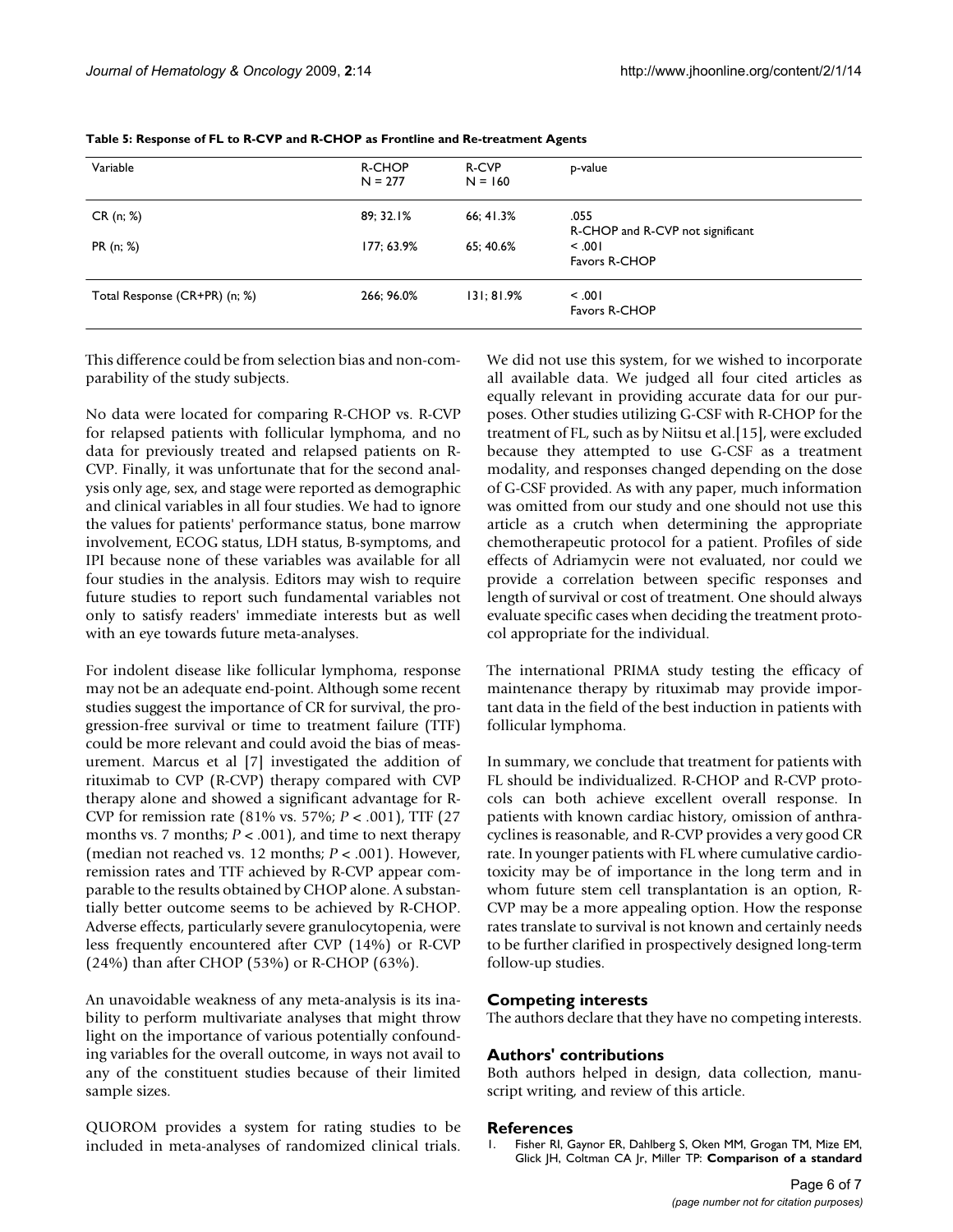| Variable                      | R-CHOP<br>$N = 277$ | R-CVP<br>$N = 160$ | p-value                                  |  |
|-------------------------------|---------------------|--------------------|------------------------------------------|--|
| CR(n; % )                     | 89: 32.1%           | 66: 41.3%          | .055<br>R-CHOP and R-CVP not significant |  |
| PR (n; %)                     | 177; 63.9%          | 65: 40.6%          | $-0.01$<br><b>Favors R-CHOP</b>          |  |
| Total Response (CR+PR) (n; %) | 266; 96.0%          | 131; 81.9%         | $-0.01$<br>Favors R-CHOP                 |  |

**Table 5: Response of FL to R-CVP and R-CHOP as Frontline and Re-treatment Agents**

This difference could be from selection bias and non-comparability of the study subjects.

No data were located for comparing R-CHOP vs. R-CVP for relapsed patients with follicular lymphoma, and no data for previously treated and relapsed patients on R-CVP. Finally, it was unfortunate that for the second analysis only age, sex, and stage were reported as demographic and clinical variables in all four studies. We had to ignore the values for patients' performance status, bone marrow involvement, ECOG status, LDH status, B-symptoms, and IPI because none of these variables was available for all four studies in the analysis. Editors may wish to require future studies to report such fundamental variables not only to satisfy readers' immediate interests but as well with an eye towards future meta-analyses.

For indolent disease like follicular lymphoma, response may not be an adequate end-point. Although some recent studies suggest the importance of CR for survival, the progression-free survival or time to treatment failure (TTF) could be more relevant and could avoid the bias of measurement. Marcus et al [7] investigated the addition of rituximab to CVP (R-CVP) therapy compared with CVP therapy alone and showed a significant advantage for R-CVP for remission rate (81% vs. 57%; *P* < .001), TTF (27 months vs. 7 months;  $P < .001$ ), and time to next therapy (median not reached vs. 12 months; *P* < .001). However, remission rates and TTF achieved by R-CVP appear comparable to the results obtained by CHOP alone. A substantially better outcome seems to be achieved by R-CHOP. Adverse effects, particularly severe granulocytopenia, were less frequently encountered after CVP (14%) or R-CVP (24%) than after CHOP (53%) or R-CHOP (63%).

An unavoidable weakness of any meta-analysis is its inability to perform multivariate analyses that might throw light on the importance of various potentially confounding variables for the overall outcome, in ways not avail to any of the constituent studies because of their limited sample sizes.

QUOROM provides a system for rating studies to be included in meta-analyses of randomized clinical trials. We did not use this system, for we wished to incorporate all available data. We judged all four cited articles as equally relevant in providing accurate data for our purposes. Other studies utilizing G-CSF with R-CHOP for the treatment of FL, such as by Niitsu et al.[15], were excluded because they attempted to use G-CSF as a treatment modality, and responses changed depending on the dose of G-CSF provided. As with any paper, much information was omitted from our study and one should not use this article as a crutch when determining the appropriate chemotherapeutic protocol for a patient. Profiles of side effects of Adriamycin were not evaluated, nor could we provide a correlation between specific responses and length of survival or cost of treatment. One should always evaluate specific cases when deciding the treatment protocol appropriate for the individual.

The international PRIMA study testing the efficacy of maintenance therapy by rituximab may provide important data in the field of the best induction in patients with follicular lymphoma.

In summary, we conclude that treatment for patients with FL should be individualized. R-CHOP and R-CVP protocols can both achieve excellent overall response. In patients with known cardiac history, omission of anthracyclines is reasonable, and R-CVP provides a very good CR rate. In younger patients with FL where cumulative cardiotoxicity may be of importance in the long term and in whom future stem cell transplantation is an option, R-CVP may be a more appealing option. How the response rates translate to survival is not known and certainly needs to be further clarified in prospectively designed long-term follow-up studies.

#### **Competing interests**

The authors declare that they have no competing interests.

#### **Authors' contributions**

Both authors helped in design, data collection, manuscript writing, and review of this article.

#### **References**

Fisher RI, Gaynor ER, Dahlberg S, Oken MM, Grogan TM, Mize EM, Glick JH, Coltman CA Jr, Miller TP: **[Comparison of a standard](http://www.ncbi.nlm.nih.gov/entrez/query.fcgi?cmd=Retrieve&db=PubMed&dopt=Abstract&list_uids=7680764)**